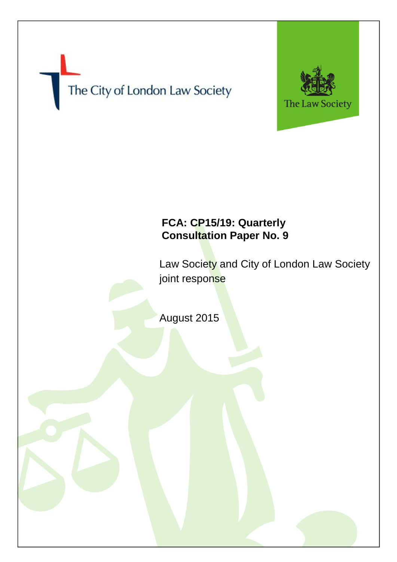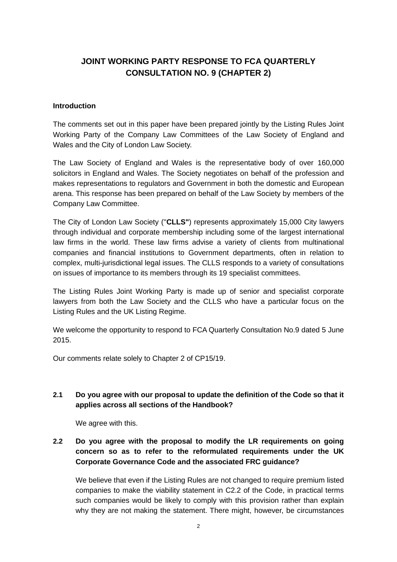# **JOINT WORKING PARTY RESPONSE TO FCA QUARTERLY CONSULTATION NO. 9 (CHAPTER 2)**

#### **Introduction**

The comments set out in this paper have been prepared jointly by the Listing Rules Joint Working Party of the Company Law Committees of the Law Society of England and Wales and the City of London Law Society.

The Law Society of England and Wales is the representative body of over 160,000 solicitors in England and Wales. The Society negotiates on behalf of the profession and makes representations to regulators and Government in both the domestic and European arena. This response has been prepared on behalf of the Law Society by members of the Company Law Committee.

The City of London Law Society ("**CLLS"**) represents approximately 15,000 City lawyers through individual and corporate membership including some of the largest international law firms in the world. These law firms advise a variety of clients from multinational companies and financial institutions to Government departments, often in relation to complex, multi-jurisdictional legal issues. The CLLS responds to a variety of consultations on issues of importance to its members through its 19 specialist committees.

The Listing Rules Joint Working Party is made up of senior and specialist corporate lawyers from both the Law Society and the CLLS who have a particular focus on the Listing Rules and the UK Listing Regime.

We welcome the opportunity to respond to FCA Quarterly Consultation No.9 dated 5 June 2015.

Our comments relate solely to Chapter 2 of CP15/19.

### **2.1 Do you agree with our proposal to update the definition of the Code so that it applies across all sections of the Handbook?**

We agree with this.

# **2.2 Do you agree with the proposal to modify the LR requirements on going concern so as to refer to the reformulated requirements under the UK Corporate Governance Code and the associated FRC guidance?**

We believe that even if the Listing Rules are not changed to require premium listed companies to make the viability statement in C2.2 of the Code, in practical terms such companies would be likely to comply with this provision rather than explain why they are not making the statement. There might, however, be circumstances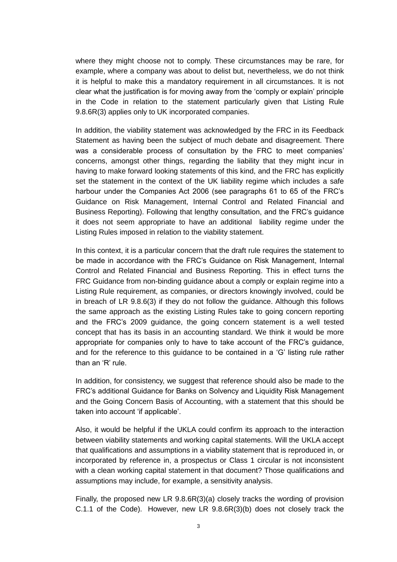where they might choose not to comply. These circumstances may be rare, for example, where a company was about to delist but, nevertheless, we do not think it is helpful to make this a mandatory requirement in all circumstances. It is not clear what the justification is for moving away from the 'comply or explain' principle in the Code in relation to the statement particularly given that Listing Rule 9.8.6R(3) applies only to UK incorporated companies.

In addition, the viability statement was acknowledged by the FRC in its Feedback Statement as having been the subject of much debate and disagreement. There was a considerable process of consultation by the FRC to meet companies' concerns, amongst other things, regarding the liability that they might incur in having to make forward looking statements of this kind, and the FRC has explicitly set the statement in the context of the UK liability regime which includes a safe harbour under the Companies Act 2006 (see paragraphs 61 to 65 of the FRC's Guidance on Risk Management, Internal Control and Related Financial and Business Reporting). Following that lengthy consultation, and the FRC's guidance it does not seem appropriate to have an additional liability regime under the Listing Rules imposed in relation to the viability statement.

In this context, it is a particular concern that the draft rule requires the statement to be made in accordance with the FRC's Guidance on Risk Management, Internal Control and Related Financial and Business Reporting. This in effect turns the FRC Guidance from non-binding guidance about a comply or explain regime into a Listing Rule requirement, as companies, or directors knowingly involved, could be in breach of LR 9.8.6(3) if they do not follow the guidance. Although this follows the same approach as the existing Listing Rules take to going concern reporting and the FRC's 2009 guidance, the going concern statement is a well tested concept that has its basis in an accounting standard. We think it would be more appropriate for companies only to have to take account of the FRC's guidance, and for the reference to this guidance to be contained in a 'G' listing rule rather than an 'R' rule.

In addition, for consistency, we suggest that reference should also be made to the FRC's additional Guidance for Banks on Solvency and Liquidity Risk Management and the Going Concern Basis of Accounting, with a statement that this should be taken into account 'if applicable'.

Also, it would be helpful if the UKLA could confirm its approach to the interaction between viability statements and working capital statements. Will the UKLA accept that qualifications and assumptions in a viability statement that is reproduced in, or incorporated by reference in, a prospectus or Class 1 circular is not inconsistent with a clean working capital statement in that document? Those qualifications and assumptions may include, for example, a sensitivity analysis.

Finally, the proposed new LR 9.8.6R(3)(a) closely tracks the wording of provision C.1.1 of the Code). However, new LR 9.8.6R(3)(b) does not closely track the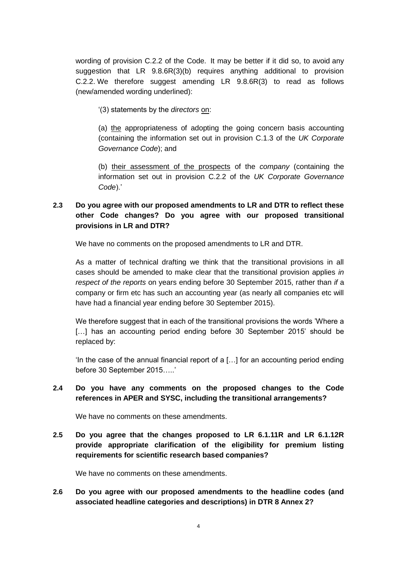wording of provision C.2.2 of the Code. It may be better if it did so, to avoid any suggestion that LR 9.8.6R(3)(b) requires anything additional to provision C.2.2. We therefore suggest amending LR 9.8.6R(3) to read as follows (new/amended wording underlined):

'(3) statements by the *directors* on:

(a) the appropriateness of adopting the going concern basis accounting (containing the information set out in provision C.1.3 of the *UK Corporate Governance Code*); and

(b) their assessment of the prospects of the *company* (containing the information set out in provision C.2.2 of the *UK Corporate Governance Code*).'

# **2.3 Do you agree with our proposed amendments to LR and DTR to reflect these other Code changes? Do you agree with our proposed transitional provisions in LR and DTR?**

We have no comments on the proposed amendments to LR and DTR.

As a matter of technical drafting we think that the transitional provisions in all cases should be amended to make clear that the transitional provision applies *in respect of the reports* on years ending before 30 September 2015, rather than *if* a company or firm etc has such an accounting year (as nearly all companies etc will have had a financial year ending before 30 September 2015).

We therefore suggest that in each of the transitional provisions the words 'Where a [...] has an accounting period ending before 30 September 2015' should be replaced by:

'In the case of the annual financial report of a […] for an accounting period ending before 30 September 2015…..'

### **2.4 Do you have any comments on the proposed changes to the Code references in APER and SYSC, including the transitional arrangements?**

We have no comments on these amendments.

**2.5 Do you agree that the changes proposed to LR 6.1.11R and LR 6.1.12R provide appropriate clarification of the eligibility for premium listing requirements for scientific research based companies?**

We have no comments on these amendments.

**2.6 Do you agree with our proposed amendments to the headline codes (and associated headline categories and descriptions) in DTR 8 Annex 2?**